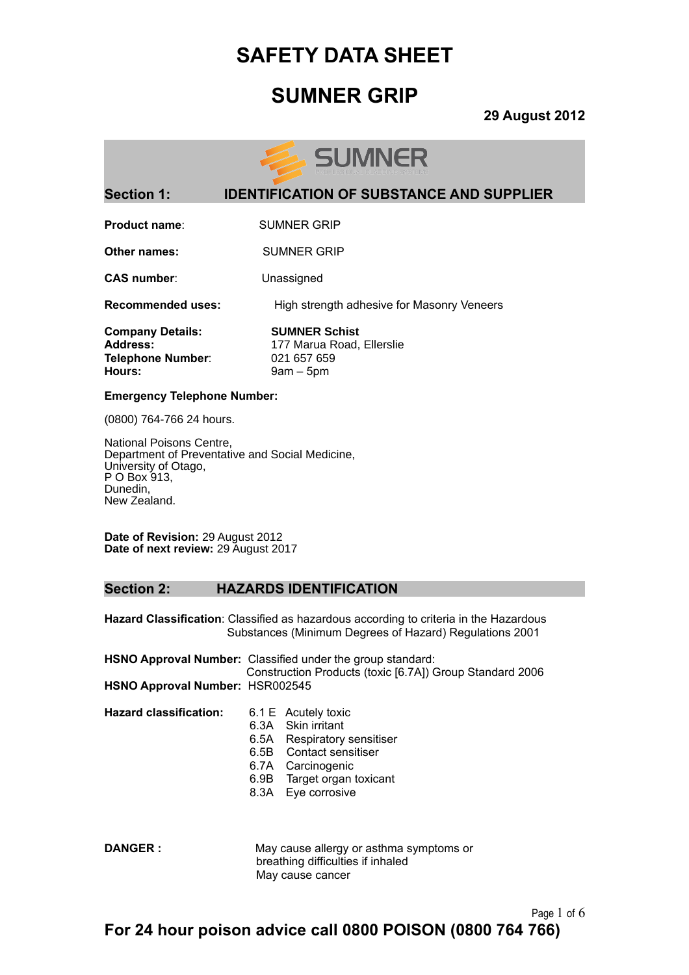## **SUMNER GRIP**

**29 August 2012**



### **Section 1: IDENTIFICATION OF SUBSTANCE AND SUPPLIER**

**Product name:** SUMNER GRIP

**Other names:** SUMNER GRIP

**CAS number**: Unassigned

**Recommended uses:** High strength adhesive for Masonry Veneers

**Company Details: SUMNER Schist Telephone Number**: 021 657 659 **Hours:** 9am – 5pm

Address: 177 Marua Road, Ellerslie

#### **Emergency Telephone Number:**

(0800) 764-766 24 hours.

National Poisons Centre, Department of Preventative and Social Medicine, University of Otago, P O Box 913, Dunedin, New Zealand.

**Date of Revision:** 29 August 2012 **Date of next review:** 29 August 2017

#### **Section 2: HAZARDS IDENTIFICATION**

**Hazard Classification**: Classified as hazardous according to criteria in the Hazardous Substances (Minimum Degrees of Hazard) Regulations 2001

|                                        | <b>HSNO Approval Number:</b> Classified under the group standard: |
|----------------------------------------|-------------------------------------------------------------------|
|                                        | Construction Products (toxic [6.7A]) Group Standard 2006          |
| <b>HSNO Approval Number: HSR002545</b> |                                                                   |

**Hazard classification:** 6.1 E Acutely toxic

- 
- 6.3A Skin irritant
	- 6.5A Respiratory sensitiser
	- 6.5B Contact sensitiser
	- 6.7A Carcinogenic
	- 6.9B Target organ toxicant
	- 8.3A Eye corrosive

**DANGER :** May cause allergy or asthma symptoms or breathing difficulties if inhaled May cause cancer

Page 1 of 6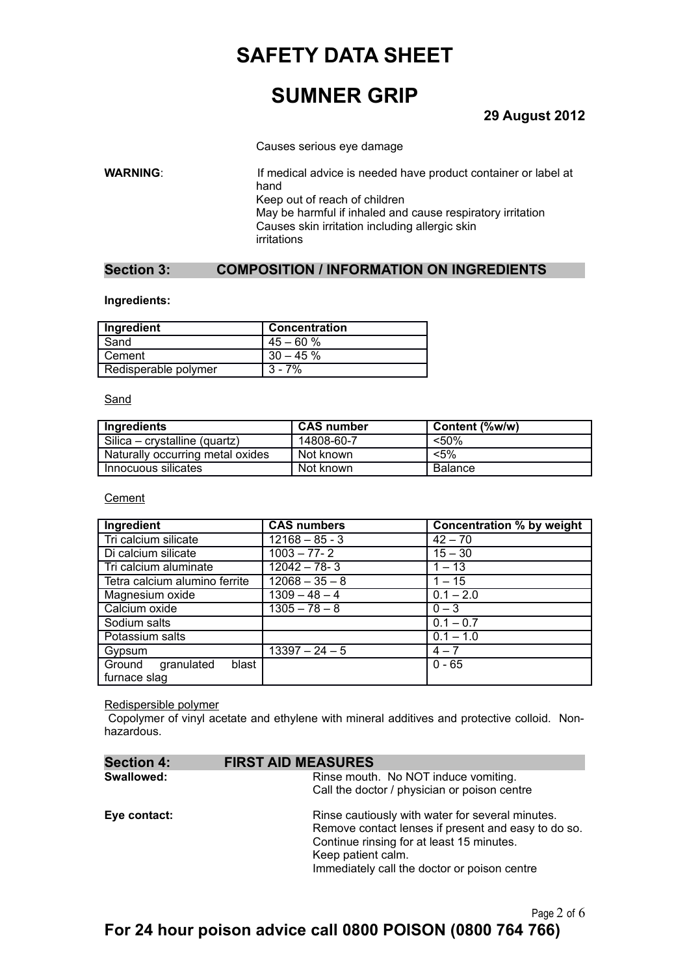## **SUMNER GRIP**

### **29 August 2012**

Causes serious eye damage

**WARNING:** If medical advice is needed have product container or label at hand Keep out of reach of children May be harmful if inhaled and cause respiratory irritation Causes skin irritation including allergic skin irritations

#### **Section 3: COMPOSITION / INFORMATION ON INGREDIENTS**

#### **Ingredients:**

| Ingredient           | <b>Concentration</b> |
|----------------------|----------------------|
| Sand                 | $45 - 60%$           |
| Cement               | $30 - 45%$           |
| Redisperable polymer | $3 - 7%$             |

#### Sand

| Ingredients                      | CAS number | Content (%w/w) |
|----------------------------------|------------|----------------|
| Silica – crystalline (quartz)    | 14808-60-7 | <50%           |
| Naturally occurring metal oxides | Not known  | $< 5\%$        |
| Innocuous silicates              | Not known  | Balance        |

#### **Cement**

| Ingredient                    | <b>CAS numbers</b> | Concentration % by weight |
|-------------------------------|--------------------|---------------------------|
| Tri calcium silicate          | $12168 - 85 - 3$   | $42 - 70$                 |
| Di calcium silicate           | $1003 - 77 - 2$    | $15 - 30$                 |
| Tri calcium aluminate         | $12042 - 78 - 3$   | $1 - 13$                  |
| Tetra calcium alumino ferrite | $12068 - 35 - 8$   | $1 - 15$                  |
| Magnesium oxide               | $1309 - 48 - 4$    | $0.1 - 2.0$               |
| Calcium oxide                 | $1305 - 78 - 8$    | $0 - 3$                   |
| Sodium salts                  |                    | $0.1 - 0.7$               |
| Potassium salts               |                    | $0.1 - 1.0$               |
| Gypsum                        | $13397 - 24 - 5$   | $4 - 7$                   |
| granulated<br>Ground<br>blast |                    | $0 - 65$                  |
| furnace slag                  |                    |                           |

#### Redispersible polymer

Copolymer of vinyl acetate and ethylene with mineral additives and protective colloid. Nonhazardous.

| <b>Section 4:</b> | <b>FIRST AID MEASURES</b>                                                                                                                                                                                                  |
|-------------------|----------------------------------------------------------------------------------------------------------------------------------------------------------------------------------------------------------------------------|
| Swallowed:        | Rinse mouth. No NOT induce vomiting.<br>Call the doctor / physician or poison centre                                                                                                                                       |
| Eye contact:      | Rinse cautiously with water for several minutes.<br>Remove contact lenses if present and easy to do so.<br>Continue rinsing for at least 15 minutes.<br>Keep patient calm.<br>Immediately call the doctor or poison centre |

Page 2 of 6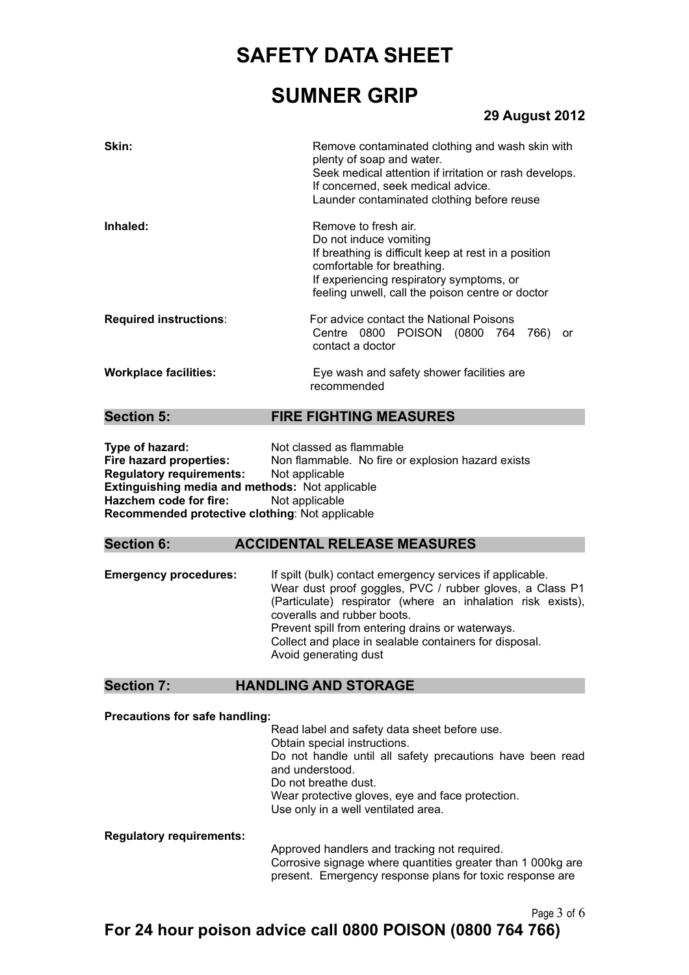## **SUMNER GRIP**

### **29 August 2012**

| Skin:                         | Remove contaminated clothing and wash skin with<br>plenty of soap and water.<br>Seek medical attention if irritation or rash develops.<br>If concerned, seek medical advice.<br>Launder contaminated clothing before reuse           |
|-------------------------------|--------------------------------------------------------------------------------------------------------------------------------------------------------------------------------------------------------------------------------------|
| Inhaled:                      | Remove to fresh air.<br>Do not induce vomiting<br>If breathing is difficult keep at rest in a position<br>comfortable for breathing.<br>If experiencing respiratory symptoms, or<br>feeling unwell, call the poison centre or doctor |
| <b>Required instructions:</b> | For advice contact the National Poisons<br>Centre 0800 POISON (0800 764 766)<br>or<br>contact a doctor                                                                                                                               |
| <b>Workplace facilities:</b>  | Eye wash and safety shower facilities are<br>recommended                                                                                                                                                                             |

#### **Section 5: FIRE FIGHTING MEASURES**

**Type of hazard:** Not classed as flammable **Fire hazard properties:** Non flammable. No fire or explosion hazard exists **Regulatory requirements:** Not applicable **Extinguishing media and methods:** Not applicable **Hazchem code for fire:** Not applicable **Recommended protective clothing**: Not applicable

#### **Section 6: ACCIDENTAL RELEASE MEASURES**

**Emergency procedures:** If spilt (bulk) contact emergency services if applicable. Wear dust proof goggles, PVC / rubber gloves, a Class P1 (Particulate) respirator (where an inhalation risk exists), coveralls and rubber boots. Prevent spill from entering drains or waterways. Collect and place in sealable containers for disposal. Avoid generating dust

#### **Section 7: HANDLING AND STORAGE**

**Precautions for safe handling:**

Read label and safety data sheet before use. Obtain special instructions. Do not handle until all safety precautions have been read and understood. Do not breathe dust. Wear protective gloves, eye and face protection. Use only in a well ventilated area.

**Regulatory requirements:**

Approved handlers and tracking not required. Corrosive signage where quantities greater than 1 000kg are present. Emergency response plans for toxic response are

Page 3 of 6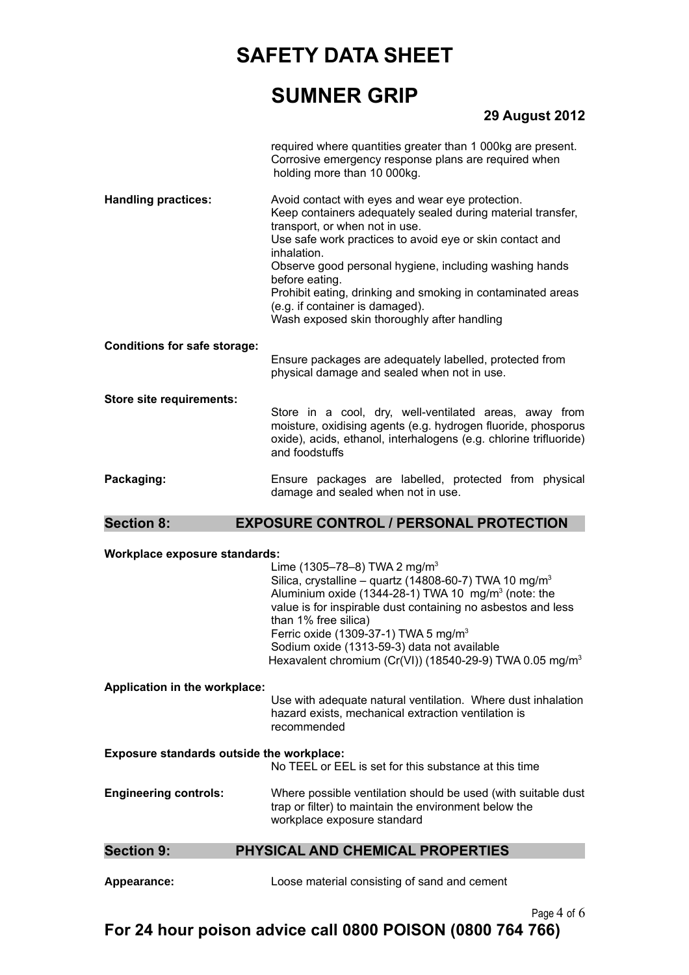## **SUMNER GRIP**

### **29 August 2012**

required where quantities greater than 1 000kg are present. Corrosive emergency response plans are required when holding more than 10 000kg.

**Handling practices:** Avoid contact with eyes and wear eye protection. Keep containers adequately sealed during material transfer, transport, or when not in use. Use safe work practices to avoid eye or skin contact and inhalation. Observe good personal hygiene, including washing hands before eating. Prohibit eating, drinking and smoking in contaminated areas (e.g. if container is damaged).

Wash exposed skin thoroughly after handling

#### **Conditions for safe storage:**

Ensure packages are adequately labelled, protected from physical damage and sealed when not in use.

**Store site requirements:**

Store in a cool, dry, well-ventilated areas, away from moisture, oxidising agents (e.g. hydrogen fluoride, phosporus oxide), acids, ethanol, interhalogens (e.g. chlorine trifluoride) and foodstuffs

Packaging: Ensure packages are labelled, protected from physical damage and sealed when not in use.

#### **Section 8: EXPOSURE CONTROL / PERSONAL PROTECTION**

#### **Workplace exposure standards:**

| <b>Section 9:</b>                                | PHYSICAL AND CHEMICAL PROPERTIES                                                                                                                                                                                                                                                                                                                                                                                                           |
|--------------------------------------------------|--------------------------------------------------------------------------------------------------------------------------------------------------------------------------------------------------------------------------------------------------------------------------------------------------------------------------------------------------------------------------------------------------------------------------------------------|
| <b>Engineering controls:</b>                     | Where possible ventilation should be used (with suitable dust)<br>trap or filter) to maintain the environment below the<br>workplace exposure standard                                                                                                                                                                                                                                                                                     |
| <b>Exposure standards outside the workplace:</b> | No TEEL or EEL is set for this substance at this time                                                                                                                                                                                                                                                                                                                                                                                      |
| <b>Application in the workplace:</b>             | Use with adequate natural ventilation. Where dust inhalation<br>hazard exists, mechanical extraction ventilation is<br>recommended                                                                                                                                                                                                                                                                                                         |
|                                                  | Lime (1305-78-8) TWA 2 mg/m <sup>3</sup><br>Silica, crystalline – quartz (14808-60-7) TWA 10 mg/m <sup>3</sup><br>Aluminium oxide (1344-28-1) TWA 10 $mg/m3$ (note: the<br>value is for inspirable dust containing no asbestos and less<br>than 1% free silica)<br>Ferric oxide (1309-37-1) TWA 5 mg/m <sup>3</sup><br>Sodium oxide (1313-59-3) data not available<br>Hexavalent chromium (Cr(VI)) (18540-29-9) TWA 0.05 mg/m <sup>3</sup> |

**Appearance:** Loose material consisting of sand and cement

Page 4 of 6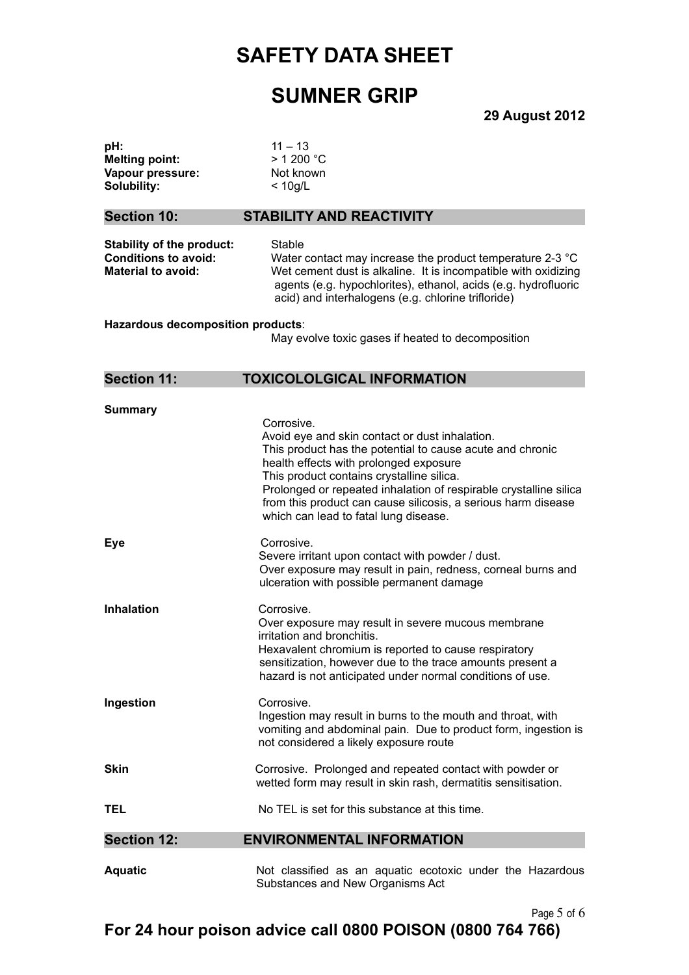## **SUMNER GRIP**

**29 August 2012**

| pH:<br><b>Melting point:</b><br>Vapour pressure:<br>Solubility:                              | $11 - 13$<br>$>$ 1 200 $^{\circ}$ C<br>Not known<br>$<$ 10g/L                                                                                                                                                                                                                                                                                          |
|----------------------------------------------------------------------------------------------|--------------------------------------------------------------------------------------------------------------------------------------------------------------------------------------------------------------------------------------------------------------------------------------------------------------------------------------------------------|
| <b>Section 10:</b>                                                                           | <b>STABILITY AND REACTIVITY</b>                                                                                                                                                                                                                                                                                                                        |
| <b>Stability of the product:</b><br><b>Conditions to avoid:</b><br><b>Material to avoid:</b> | Stable<br>Water contact may increase the product temperature 2-3 °C<br>Wet cement dust is alkaline. It is incompatible with oxidizing<br>agents (e.g. hypochlorites), ethanol, acids (e.g. hydrofluoric<br>acid) and interhalogens (e.g. chlorine trifloride)                                                                                          |
| Hazardous decomposition products:<br>May evolve toxic gases if heated to decomposition       |                                                                                                                                                                                                                                                                                                                                                        |
| <b>Section 11:</b>                                                                           | <b>TOXICOLOLGICAL INFORMATION</b>                                                                                                                                                                                                                                                                                                                      |
| <b>Summary</b>                                                                               | Corrosive.<br>Avoid eye and skin contact or dust inhalation.<br>This product has the potential to cause acute and chronic<br>health effects with prolonged exposure<br>This product contains crystalline silica.<br>Prolonged or repeated inhalation of respirable crystalline silica<br>from this product can cause silicosis, a serious harm disease |
| <b>Eye</b>                                                                                   | which can lead to fatal lung disease.<br>Corrosive.<br>Severe irritant upon contact with powder / dust.<br>Over exposure may result in pain, redness, corneal burns and<br>ulceration with possible permanent damage                                                                                                                                   |
| <b>Inhalation</b>                                                                            | Corrosive.<br>Over exposure may result in severe mucous membrane<br>irritation and bronchitis.<br>Hexavalent chromium is reported to cause respiratory<br>sensitization, however due to the trace amounts present a<br>hazard is not anticipated under normal conditions of use.                                                                       |
| Ingestion                                                                                    | Corrosive.<br>Ingestion may result in burns to the mouth and throat, with<br>vomiting and abdominal pain. Due to product form, ingestion is<br>not considered a likely exposure route                                                                                                                                                                  |
| <b>Skin</b>                                                                                  | Corrosive. Prolonged and repeated contact with powder or<br>wetted form may result in skin rash, dermatitis sensitisation.                                                                                                                                                                                                                             |
| <b>TEL</b>                                                                                   | No TEL is set for this substance at this time.                                                                                                                                                                                                                                                                                                         |
| <b>Section 12:</b>                                                                           | <b>ENVIRONMENTAL INFORMATION</b>                                                                                                                                                                                                                                                                                                                       |
| <b>Aquatic</b>                                                                               | Not classified as an aquatic ecotoxic under the Hazardous<br>Substances and New Organisms Act                                                                                                                                                                                                                                                          |

Page 5 of 6